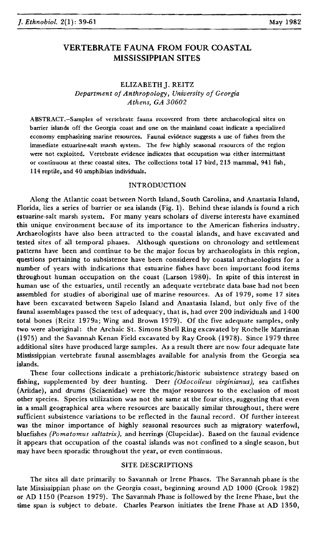# **VERTEBRATE FAUNA FROM FOUR COASTAL MISSISSIPPIAN SITES**

# ELIZABETH]. REITZ *Department of Anthropology, University of Georgia Athens, GA 30602*

ABSTRACT.-Samples of vertebrate fauna recovered from three archaeological sites on barrier islands off the Georgia coast and one on the mainland coast indicate a specialized economy emphasizing marine resources. Faunal evidence suggests a use of fishes from the immediate estuarine-salt marsh system. The few highly seasonal resources of the region were not exploited. Vertebrate evidence indicates that occupation was either intermittant or continuous at these coastal sites. The collections total 17 bird, 213 mammal, 941 fish, 114 reptile, and 40 amphibian individuals.

## INTRODUCTION

Along the Atlantic coast between North Island. South Carolina, and Anastasia Island, Florida, lies a series of barrier or sea islands (Fig. 1). Behind these islands is found a rich estuarine-salt marsh system. For many years scholars of diverse interests have examined this unique environment because of its importance to the American fisheries industry. Archaeologists have also been attracted to the coastal islands, and have excavated and tested sites of all temporal phases. Although questions on chronology and settlement patterns have been and continue to be the major focus by archaeologists in this region, questions pertaining to subsistence have been considered by coastal archaeologists for a number of years with indications that estuarine fishes have been important food items throughout human occupation on the coast (Larson 1980). In spite of this interest in human use of the estuaries, until recently an adequate vertebrate data base had not been assembled for studies of aboriginal use of marine resources. As of 1979, some 17 sites have been excavated between Sapelo Island and Anastasia Island, but only five of the faunal assemblages passed the test of adequacy, that is, had over 200 individuals and 1400 total bones (Reitz I979a; Wing and Brown 1979). Of the five adequate samples, only two were aboriginal: the Archaic St. Simons Shell Ring excavated by Rochelle Marrinan (1975) and the Savannah Kenan Field excavated by Ray Crook (1978). Since 1979 three additional sites have produced large samples. As a result there are now four adequate late Mississippian vertebrate faunal assemblages available for analysis from the Georgia sea islands.

These four collections indicate a prehistoric/historic subsistence strategy based on fishing, supplemented by deer hunting. Deer *(Odocoileus virginianus),* sea catfishes (Ariidae), and drums (Sciaenidae) were the major resources to the exclusion of most other species. Species utilization was not the same at the four sites, suggesting that even in a small geographical area where resources are basically similar throughout, there were sufficient subsistence variations to be reflected in the faunal record. Of further interest was the minor importance of highly seasonal resources such as migratory waterfowl, bluefishes *(Pomatomus saltatrix),* and herrings (Clupeidae). Based on the faunal evidence it appears that occupation of the coastal islands was not confined to a single season, but may have been sporadic throughout the year, or even continuous.

## SITE DESCRIPTIONS

The sites all date primarily to Savannah or Irene Phases. The Savannah phase is the late Mississippian phase on the Georgia coast, beginning around AD 1000 (Crook 1982) or AD 1150 (Pearson 1979). The Savannah Phase is followed by the Irene Phase, but the time span is subject to debate. Charles Pearson initiates the Irene Phase at AD 1350,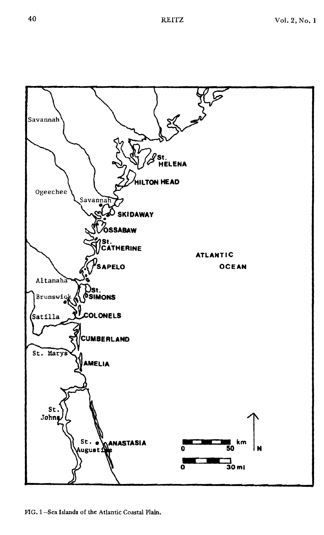

FIG. I-Sea Islands of the Atlantic Coastal Plain.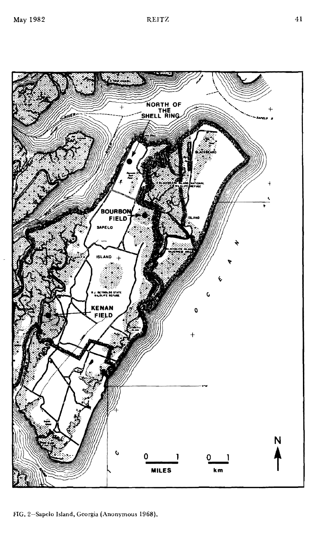FIG. 2-Sapelo Island, Georgia (Anonymous 1968).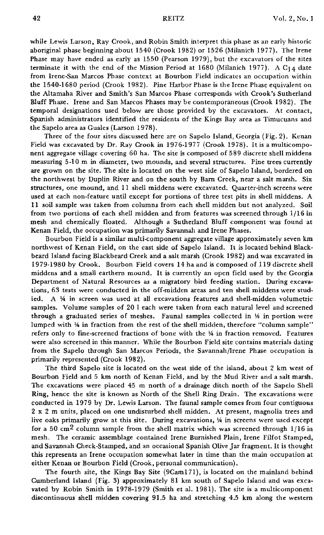while Lewis Larson, Ray Crook, and Robin Smith interpret this phase as an early historic aboriginal phase beginning about 1540 (Crook 1982) or 1526 (Milanich 1977). The Irene Phase may have ended as early as 1550 (Pearson 1979), but the excavators of the sites terminate it with the end of the Mission Period at 1680 (Milanich 1977). A  $C_{14}$  date from Irene·San Marcos Phase context at Bourbon Field indicates an occupation within the 1540·1680 period (Crook 1982). Pine Harbor Phase is the Irene Phase equivalent on the Altamaha River and Smith's San Marcos Phase corresponds with Crook's Sutherland Bluff Phase. Irene and San Marcos Phases may be contemporaneous (Crook 1982). The temporal designations used below are those provided by the excavators. At contact, Spanish administrators identified the residents of the Kings Bay area as Timucuans and the Sapelo area as Guales (Larson 1978).

Three of the four sites discussed here are on Sapelo Island, Georgia (Fig. 2). Kenan Field was excavated by Dr. Ray Crook in 1976·1977 (Crook 1978). It is a multicompo. nent aggregate village covering 60 ha. The site is composed of 589 discrete shell middens measuring 5·10 m in diameter, two mounds, and several structures. Pine trees currently are grown on the site. The site is located on the west side of Sapelo Island, bordered on the northwest by Duplin River and on the south by Barn Creek, near a salt marsh. Six structures, one mound, and 11 shell middens were excavated. Quarter·inch screens were used at each non·feature until except for portions of three test pits in shell middens. A **11** soil sample was taken from columns from each shell midden but not analyzed. Soil from two portions of each shell midden and from features was screened through 1/16 in mesh and chemically floated. Although a Sutherland Bluff component was found at Kenan Field, the occupation was primarily Savannah and Irene Phases.

Bourbon Field is a similar multi·component aggregate village approximately seven km northwest of Kenan Field, on the east side of Sapelo Island. It is located behind Blackbeard Island facing Blackbeard Creek and a salt marsh (Crook 1982) and was excavated in 1979·1980 by Crook. Bourbon Field covers 14 ha and is composed of 119 discrete shell middens and a small earthern mound. **It** is currently an open field used by the Georgia Department of Natural Resources as a migratory bird feeding station. During excavations, 63 tests were conducted in the off·midden areas and ten shell middens were stud· ied. A in screen was used at all excavations features and shell·midden volumetric samples. Volume samples of 20 I each were taken from each natural level and screened through a graduated series of meshes. Faunal samples collected in  $\frac{1}{4}$  in portion were lumped with 14 in fraction from the rest of the shell midden, therefore "column sample" refers only to fine-screened fractions of bone with the  $\frac{1}{4}$  in fraction removed. Features were also screened in this manner. While the Bourbon Field site contains materials dating from the Sapelo through San Marcos Periods, the Savannah/Irene Phase occupation is primarily represented (Crook 1982).

The third Sapelo site is located on the west side of the island, about 2 km west of Bourbon Field and 5 km north of Kenan Field, and by the Mud River and a salt marsh. The excavations were placed 45 m north of a drainage ditch north of the Sapelo Shell Ring, hence the site is known as North of the Shell Ring Drain. The excavations were conducted in 1979 by Dr. Lewis Larson. The faunal sample comes from four contiguous 2 x 2 m units, placed on one undisturbed shell midden. At present, magnolia trees and live oaks primarily grow at this site. During excavations,  $\frac{1}{4}$  in screens were used except for a 50 cm<sup>2</sup> column sample from the shell matrix which was screened through  $1/16$  in mesh. The ceramic assemblage contained Irene Burnished Plain, Irene Filfot Stamped, and Savannah Check·Stamped, and an occasional Spanish Olive Jar fragment. It is thought this represents an Irene occupation somewhat later in time than the main occupation at either Kenan or Bourbon Field (Crook, personal communication).

The fourth site, the Kings Bay Site (9Caml71), is located on the mainland behind Cumberland Island (Fig. 3) approximately 81 km south of Sapelo Island and was excavated by Robin Smith in 1978-1979 (Smith et aI. 1981). The site is a multicomponent discontinuous shell midden covering 91.5 ha and stretching 4.5 km along the western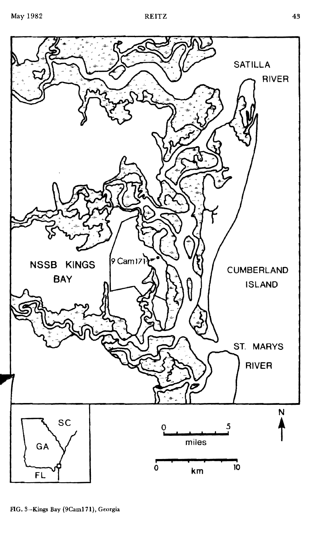

FlG. 3-Kings Bay (9Cam171), Georgia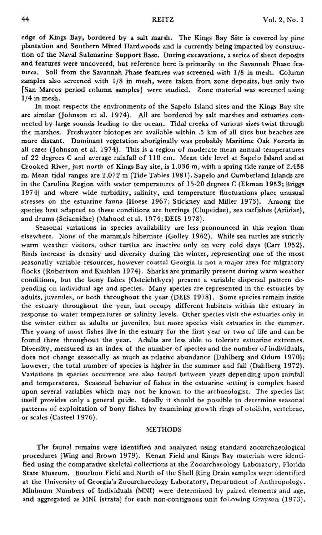edge of Kings Bay, bordered by a salt marsh. The Kings Bay Site is covered by pine plantation and Southern Mixed Hardwoods and is currently being impacted by construction of the Naval Submarine Support Base. During excavations, a series of sheet deposits and features were uncovered, but reference here is primarily to the Savannah Phase features. Soil from the Savannah Phase features was screened with 1{8 in mesh. Column samples also screened with  $1/8$  in mesh, were taken from zone deposits, but only two [San Marcos period column samples] were studied. Zone material was screened using  $1/4$  in mesh.

**In** most respects the environments of the Sapelo Island sites and the Kings Bay site are similar (Johnson et al. 1974). All are bordered by salt marshes and estuaries connected by large sounds leading to the ocean. Tidal creeks of various sizes twist through the marshes. Freshwater biotopes are available within .5 km of all sites but beaches are more distant. Dominant vegetation aboriginally was probably Maritime Oak Forests in all cases (Johnson et al. 1974). This is a region of moderate mean annual temperatures of 22 degrees C and average rainfall of 110 em. Mean tide level at Sapelo Island and at Crooked River, just north of Kings Bay site, is 1.036 m, with a spring tide range of 2.438 m. Mean tidal ranges are 2.072 m (Tide Tables 1981). Sapelo and Cumberland Islands are in the Carolina Region with water temperatures of 15·20 degrees C (Ekman 1953; Briggs 1974) and where wide turbidity, salinity, and temperature fluctuations place unusual stresses on the estuarine fauna (Hoese 1967; Stickney and Miller 1973). Among the species best adapted to these conditions are herrings (Clupeidae), sea catfishes (Ariidae), and drums (Sciaenidae) (Mahood et al. 1974; DEIS 1978).

Seasonal variations in species availability are less pronounced in this region than elsewhere. None of the mammals hibernate (Golley 1962). While sea turtles are strictly warm weather visitors, other turtles are inactive only on very cold days (Carr 1952). Birds increase in density and diversity during the winter, representing one of the most seasonally variable resources, however coastal Georgia is not a major area for migratory flocks (Robertson and Kushlan 1974). Sharks are primarily present during warm weather conditions, but the bony fishes (Osteichthyes) present a variable dispersal pattern depending on individual age and species. Many species are represented in the estuaries by adults, juveniles, or both throughout the year (DEIS 1978). Some species remain inside the estuary throughout the year, but occupy different habitats within the estuary in response to water temperatures or salinity levels. Other species visit the estuaries only in the winter either as adults or juveniles, but more species visit estuaries in the summer. The young of most fishes live in the estuary for the first year or two of life and can be found there throughout the year. Adults are less able to tolerate estuarine extremes. Diversity, measured as an index of the number of species and the number of individuals, does not change seasonally as much as relative abundance (Dahlberg and Odum 1970); however, the total number of species is higher in the summer and fall (Dahlberg 1972). Variations in species occurrence are also found between years depending upon rainfall and temperatures. Seasonal behavior of fishes in the estuarine setting is complex based upon several variables which may not be known to the archaeologist. The species list itself provides only a general guide. Ideally it should be possible to determine seasonal patterns of exploitation of bony fishes by examining growth rings of otoliths, vertebrae, or scales (Casteel 1976).

### METHODS

The faunal remains were identified and analyzed using standard zooarchaeological procedures (Wing and Brown 1979). Kenan Field and Kings Bay materials were identi· fied using the comparative skeletal collections at the Zooarchaeology Laboratory, Florida State Museum. Bourbon Field and North of the Shell Ring Drain samples were identified at the University of Georgia's Zooarchaeology Laboratory, Department of Anthropology. Minimum Numbers of Individuals (MNI) were determined by paired elements and age, and aggregated as MNI (strata) for each non-contiguous unit following Grayson (1973).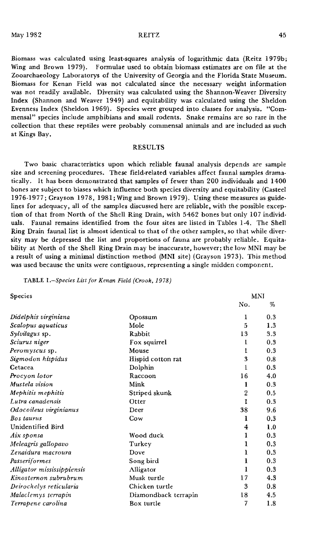Biomass was calculated using least-squares analysis of logarithmic data (Reitz 1979b; Wing and Brown 1979). Formulae used to obtain biomass estimates are on file at the Zooarchaeology Laboratorys of the University of Georgia and the Florida State Museum. Biomass for Kenan Field was not calculated since the necessary weight information was not readily available. Diversity was calculated using the Shannon-Weaver Diversity Index (Shannon and Weaver 1949) and equitability was calculated using the Sheldon Evenness Index (Sheldon 1969). Species were grouped into classes for analysis. "Commensal" species include amphibians and small rodents. Snake remains are so rare in the collection that these reptiles were probably commensal animals and are included as such at Kings Bay.

## RESULTS

Two basic characteristics upon which reliable faunal analysis depends are sample size and screening procedures. These field-related variables affect faunal samples dramatically. It has been demonstrated that samples of fewer than 200 individuals and 1400 bones are subject to biases which influence both species diversity and equitability (Casteel 1976-1977; Grayson 1978, 1981; Wing and Brown 1979). Using these measures as guidelines for adequacy, all of the samples discussed here are reliable, with the possible excep· tion of that from North of the Shell Ring Drain, with 5462 bones but only 107 individ· uals. Faunal remains identified from the four sites are listed in Tables 1·4. The Shell Ring Drain faunal list is almost identical to that of the other samples, so that while diversity may be depressed the list and proportions of fauna are probably reliable. Equitability at North of the Shell Ring Drain may be inaccurate, however; the low MNI may be a result of using a minimal distinction method (MNI site) (Grayson 1973). This method was used because the units were contiguous, representing a single midden component.

## TABLE *I.-Species List for Kenan Field (Crook,* 1978)

| <b>Species</b>             |                      |     | MNI |
|----------------------------|----------------------|-----|-----|
|                            |                      | No. | %   |
| Didelphis virginiana       | Opossum              | 1   | 0.3 |
| Scalopus aquaticus         | Mole                 | 5   | 1.3 |
| Sylvilagus sp.             | Rabbit               | 13  | 3.3 |
| Sciurus niger              | Fox squirrel         | ı   | 0.3 |
| Peromyscus sp.             | Mouse                | 1   | 0.3 |
| Sigmodon hispidus          | Hispid cotton rat    | 3   | 0.8 |
| Cetacea                    | Dolphin              | 1   | 0.3 |
| Procyon lotor              | Raccoon              | 16  | 4.0 |
| Mustela vision             | Mink                 | 1   | 0.3 |
| Mephitis mephitis          | Striped skunk        | 2   | 0.5 |
| Lutra canadensis           | Otter                | 1   | 0.3 |
| Odocoileus virginianus     | Deer                 | 38  | 9.6 |
| Bos taurus                 | Cow                  | 1   | 0.3 |
| Unidentified Bird          |                      | 4   | 1.0 |
| Aix sponsa                 | Wood duck            | 1   | 0.3 |
| Meleagris gallopavo        | Turkey               | 1   | 0.3 |
| Zenaidura macroura         | Dove                 | ı   | 0.3 |
| Passeriformes              | Song bird            | 1   | 0.3 |
| Alligator mississippiensis | Alligator            | 1   | 0.3 |
| Kinosternon subrubrum      | Musk turtle          | 17  | 4.3 |
| Deirochelys reticularia    | Chicken turtle       | 3   | 0.8 |
| Malaclemys terrapin        | Diamondback terrapin | 18  | 4.5 |
| Terrapene carolina         | Box turtle           | 7   | 1.8 |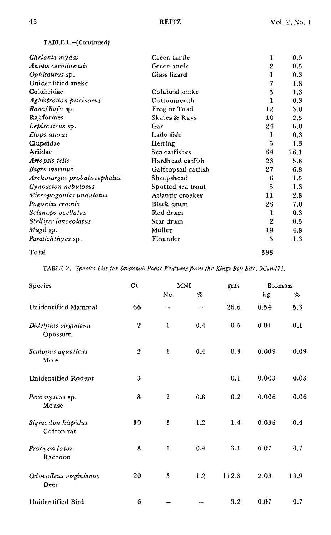TABLE I.-(Continued)

| Chelonia mydas              | Green turtle        | 1            | 0,3  |
|-----------------------------|---------------------|--------------|------|
| Anolis carolinensis         | Green anole         | 2            | 0.5  |
| Ophisaurus sp.              | Glass lizard        | 1            | 0.3  |
| Unidentified snake          |                     | 7            | 1.8  |
| Colubridae                  | Colubrid snake      | 5            | 1.3  |
| Agkistrodon piscivorus      | Cottonmouth         | 1            | 0.3  |
| Rana/Bufo sp.               | Frog or Toad        | 12           | 3.0  |
| Rajiformes                  | Skates & Rays       | 10           | 2.5  |
| Lepisosteus sp.             | Gar                 | 24           | 6.0  |
| Elops saurus                | Lady fish           | 1            | 0.3  |
| Clupeidae                   | Herring             | 5            | 1.3  |
| Ariidae                     | Sea catfishes       | 64           | 16.1 |
| Ariopsis felis              | Hardhead catfish    | 23           | 5.8  |
| Bagre marinus               | Gafftopsail catfish | 27           | 6.8  |
| Archosargus probatocephalus | Sheepshead          | 6            | 1.5  |
| Cynoscion nebulosus         | Spotted sea trout   | 5            | 1.3  |
| Micropogonias undulatus     | Atlantic croaker    | 11           | 2.8  |
| Pogonias cromis             | Black drum          | 28           | 7.0  |
| Scianops ocellatus          | Red drum            | 1            | 0.3  |
| Stellifer lanceolatus       | Star drum           | $\mathbf{2}$ | 0.5  |
| Mugil sp.                   | Mullet              | 19           | 4.8  |
| Paralichthyes sp.           | Flounder            | 5            | 1.3  |
| Total                       |                     | 398          |      |

TABI.E *2.-Species List for Savannah Phase Features from the Kings Bay Site,9Caml71.*

| Species                         | C <sub>t</sub> |                | MNI  |       | Biomass |      |
|---------------------------------|----------------|----------------|------|-------|---------|------|
|                                 |                | No.            | $\%$ |       | kg      | %    |
| <b>Unidentified Mammal</b>      | 66             |                | -    | 26.6  | 0.54    | 5.3  |
| Didelphis virginiana<br>Opossum | $\mathbf{2}$   | $\mathbf{1}$   | 0.4  | 0,5   | 0.01    | 0.1  |
| Scalopus aquaticus<br>Mole      | $\overline{2}$ | 1              | 0.4  | 0.3   | 0.009   | 0.09 |
| Unidentified Rodent             | 3              |                |      | 0.1   | 0.003   | 0.03 |
| Peromyscus sp.<br>Mouse         | 8              | $\overline{2}$ | 0.8  | 0.2   | 0.006   | 0.06 |
| Sigmodon hispidus<br>Cotton rat | 10             | $\overline{3}$ | 1.2  | 1.4   | 0.036   | 0.4  |
| Procyon lotor<br>Raccoon        | 8              | $\mathbf{1}$   | 0.4  | 3.1   | 0.07    | 0.7  |
| Odocoileus virginianus<br>Deer  | 20             | 3              | 1.2  | 112.8 | 2.03    | 19.9 |
| Unidentified Bird               | 6              |                |      | 3.2   | 0.07    | 0.7  |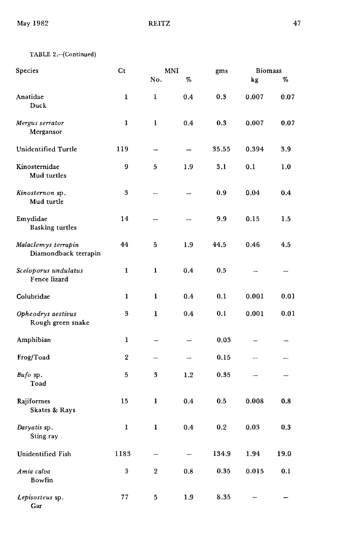| Species                                     | $\mathsf{C} \mathsf{t}$ |              | <b>MNI</b> | gms        | <b>Biomass</b> |      |
|---------------------------------------------|-------------------------|--------------|------------|------------|----------------|------|
|                                             |                         | No.          | $\%$       |            | kg             | $\%$ |
| Anatidae<br>Duck                            | $\mathbf{1}$            | 1            | 0.4        | 0.3        | 0.007          | 0.07 |
| Mergus serrator<br>Mergansor                | 1                       | $\mathbf{1}$ | 0.4        | 0.3        | 0.007          | 0.07 |
| Unidentified Turtle                         | 119                     |              |            | 35.55      | 0.394          | 3.9  |
| Kinosternidae<br>Mud turtles                | 9                       | 5            | 1.9        | 3.1        | 0.1            | 1.0  |
| Kinosternon sp.<br>Mud turtle               | 3                       |              |            | 0.9        | 0.04           | 0.4  |
| Emydidae<br><b>Basking turtles</b>          | 14                      |              | ---        | 9.9        | 0.15           | 1.5  |
| Malaclemys terrapin<br>Diamondback terrapin | 44                      | 5            | 1,9        | 44.5       | 0.46           | 4,5  |
| Sceloporus undulatus<br>Fence lizard        | 1                       | 1            | 0.4        | 0.5        |                |      |
| Colubridae                                  | 1                       | 1            | 0.4        | 0.1        | 0.001          | 0.01 |
| Opheodrys aestivus<br>Rough green snake     | 3                       | $\mathbf{1}$ | 0.4        | 0.1        | 0.001          | 0.01 |
| Amphibian                                   | $\mathbf{1}$            |              |            | 0.03       |                |      |
| Frog/Toad                                   | $\overline{2}$          |              |            | 0.15       |                |      |
| Bufo sp.<br>Toad                            | 5                       | 3            | 1.2        | 0.35       |                |      |
| Rajiformes<br>Skates & Rays                 | 15                      | $\mathbf{1}$ | 0.4        | 0.5        | 0.008          | 0.8  |
| Dasyatis sp.<br>Sting ray                   | $\mathbf 1$             | $\mathbf{1}$ | 0.4        | 0.2        | 0.03           | 0.3  |
| Unidentified Fish                           | 1183                    |              |            | 134,9      | 1.94           | 19.0 |
| Amia calva<br>Bowfin                        | $\boldsymbol{3}$        | $\,2$        | $0.8\,$    | $\bf 0.35$ | 0.015          | 0.1  |
| Lepisosteus sp.<br>Gar                      | 77                      | 5            | 1.9        | 8.35       |                |      |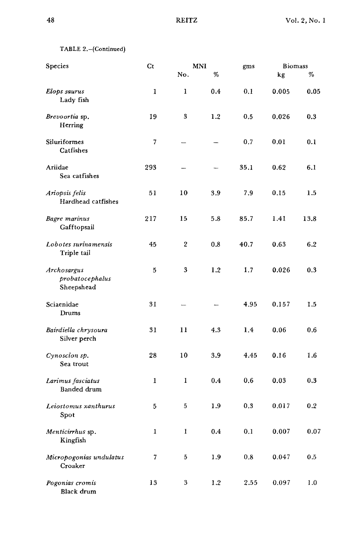TABLE 2.-(Continued)

| Species                                      | Ct  | MNI              |         | gms  | <b>Biomass</b> |         |
|----------------------------------------------|-----|------------------|---------|------|----------------|---------|
|                                              |     | No.              | %       |      | kg             | %       |
| Elops saurus<br>Lady fish                    | 1   | 1                | 0.4     | 0.1  | 0.005          | 0.05    |
| Brevoortia sp.<br>Herring                    | 19  | 3                | 1.2     | 0.5  | 0.026          | 0.3     |
| Siluriformes<br>Catfishes                    | 7   |                  |         | 0.7  | 0.01           | 0.1     |
| Ariidae<br>Sea catfishes                     | 293 |                  |         | 35.1 | 0.62           | 6.1     |
| Ariopsis felis<br>Hardhead catfishes         | 51  | 10               | 3.9     | 7.9  | 0.15           | 1.5     |
| Bagre marinus<br>Gafftopsail                 | 217 | 15               | 5.8     | 85.7 | 1.41           | 13.8    |
| Lobotes surinamensis<br>Triple tail          | 45  | $\boldsymbol{2}$ | 0.8     | 40.7 | 0.63           | 6.2     |
| Archosargus<br>probatocephalus<br>Sheepshead | 5   | $\boldsymbol{3}$ | 1.2     | 1.7  | 0.026          | 0.3     |
| Sciaenidae<br>Drums                          | 31  |                  |         | 4.95 | 0.157          | 1.5     |
| Bairdiella chrysoura<br>Silver perch         | 31  | 11               | 4.3     | 1.4  | 0.06           | 0.6     |
| Cynoscion sp.<br>Sea trout                   | 28  | 10               | 3.9     | 4.45 | 0.16           | 1.6     |
| Larimus fasciatus<br>Banded drum             | 1   | 1                | 0.4     | 0.6  | 0.03           | 0.3     |
| Leiostomus xanthurus<br>Spot                 | 5   | 5                | 1.9     | 0.3  | 0.017          | 0.2     |
| Menticirrhus sp.<br>Kingfish                 | 1   | $\mathbf{I}$     | $0.4\,$ | 0.1  | 0.007          | 0.07    |
| Micropogonias undulatus<br>Croaker           | 7   | 5                | 1.9     | 0.8  | 0.047          | $0.5\,$ |
| Pogonias cromis<br>Black drum                | 13  | 3                | 1.2     | 2.55 | 0.097          | 1.0     |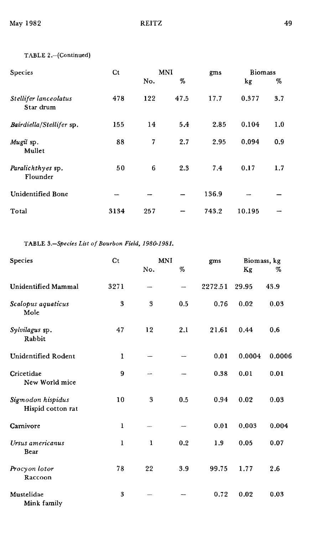# TABLE 2.-(Continued)

| Species                            | C <sub>t</sub> | <b>MNI</b> |      | gms   | <b>Biomass</b> |     |
|------------------------------------|----------------|------------|------|-------|----------------|-----|
|                                    |                | No.        | %    |       | kg             | %   |
| Stellifer lanceolatus<br>Star drum | 478            | 122        | 47.5 | 17.7  | 0.377          | 3.7 |
| Bairdiella/Stellifer sp.           | 155            | 14         | 5.4  | 2.85  | 0.104          | 1.0 |
| Mugil sp.<br>Mullet                | 88             | 7          | 2.7  | 2.95  | 0.094          | 0.9 |
| Paralichthyes sp.<br>Flounder      | 50             | 6          | 2.3  | 7.4   | 0.17           | 1.7 |
| Unidentified Bone                  |                |            |      | 136.9 |                |     |
| Total                              | 3134           | 257        |      | 743.2 | 10.195         |     |

TABLE *S.-Species List of Bourbon Field, 1980-1981.*

| Species                                | Ct   | <b>MNI</b> |     | gms     | Biomass, kg |        |
|----------------------------------------|------|------------|-----|---------|-------------|--------|
|                                        |      | No.        | %   |         | Кg          | %      |
| Unidentified Mammal                    | 3271 |            |     | 2272.51 | 29.95       | 43.9   |
| Scalopus aquaticus<br>Mole             | 3    | 3          | 0.5 | 0.76    | 0.02        | 0.03   |
| Sylvilagus sp.<br>Rabbit               | 47   | 12         | 2.1 | 21.61   | 0.44        | 0.6    |
| Unidentified Rodent                    | 1    |            |     | 0.01    | 0.0004      | 0.0006 |
| Cricetidae<br>New World mice           | 9    |            |     | 0.38    | 0.01        | 0.01   |
| Sigmodon hispidus<br>Hispid cotton rat | 10   | 3          | 0.5 | 0.94    | 0.02        | 0.03   |
| Carnivore                              | 1    |            |     | 0.01    | 0.003       | 0.004  |
| Ursus americanus<br>Bear               | 1    | 1          | 0.2 | 1.9     | 0.05        | 0.07   |
| Procyon lotor<br>Raccoon               | 78   | 22         | 3.9 | 99.75   | 1.77        | 2.6    |
| Mustelidae<br>Mink family              | 3    |            |     | 0.72    | 0.02        | 0.03   |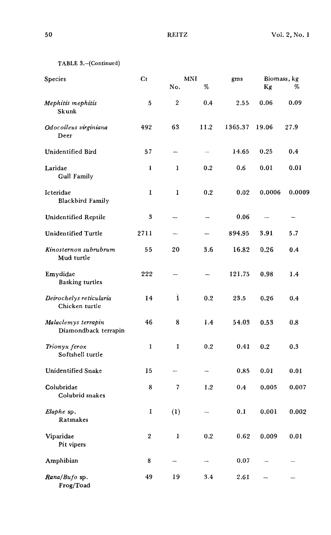|  |  |  |  |  | TABLE 3.-(Continued) |  |
|--|--|--|--|--|----------------------|--|
|--|--|--|--|--|----------------------|--|

| Species                                     | $C_{t}$          |                                                      | MNI                      | gms     | Biomass, kg |        |
|---------------------------------------------|------------------|------------------------------------------------------|--------------------------|---------|-------------|--------|
|                                             |                  | No.                                                  | %                        |         | Kg          | %      |
| Mephitis mephitis<br>Skunk                  | 5                | 2                                                    | 0.4                      | 2.55    | 0.06        | 0.09   |
| Odocoileus virginiana<br>Deer               | 492              | 63                                                   | 11.2                     | 1365.37 | 19.06       | 27.9   |
| <b>Unidentified Bird</b>                    | 57               | -                                                    | $\overline{\phantom{a}}$ | 14.65   | 0.25        | 0.4    |
| Laridae<br><b>Gull Family</b>               | 1                | 1                                                    | 0.2                      | 0.6     | 0.01        | 0.01   |
| Icteridae<br>Blackbird Family               | 1                | $\mathbf{I}$                                         | 0.2                      | 0.02    | 0.0006      | 0.0009 |
| Unidentified Reptile                        | 3                |                                                      |                          | 0.06    |             | ---    |
| <b>Unidentified Turtle</b>                  | 2711             | $\overline{\phantom{0}}$                             |                          | 894.95  | 3.91        | 5.7    |
| Kinosternon subrubrum<br>Mud turtle         | 55               | 20                                                   | 3.6                      | 16.82   | 0.26        | 0.4    |
| Emydidae<br><b>Basking turtles</b>          | 222              |                                                      |                          | 121.75  | 0.98        | 1.4    |
| Deirochelys reticularia<br>Chicken turtle   | 14               | ì                                                    | 0.2                      | 23.5    | 0.26        | 0.4    |
| Malaclemys terrapin<br>Diamondback terrapin | 46               | 8                                                    | 1.4                      | 54.03   | 0.53        | 0.8    |
| Trionyx ferox<br>Softshell turtle           | $\mathbf{1}$     | 1                                                    | 0.2                      | 0.41    | 0.2         | 0.3    |
| <b>Unidentified Snake</b>                   | 15               |                                                      |                          | 0.85    | 0.01        | 0.01   |
| Colubridae<br>Colubrid snakes               | 8                | 7                                                    | 1.2                      | 0.4     | 0.005       | 0.007  |
| Elaphe sp.<br>Ratsnakes                     | 1                | (1)                                                  |                          | 0.1     | 0.001       | 0.002  |
| Viparidae<br>Pit vipers                     | $\boldsymbol{2}$ | $\mathbf{1}% _{T}\in \mathcal{C}_{T}\left( T\right)$ | 0.2                      | 0.62    | 0.009       | 0.01   |
| Amphibian                                   | 8                |                                                      |                          | 0.07    |             |        |
| Rana/Bufo sp.<br>Frog/Toad                  | 49               | 19                                                   | 3.4                      | 2.61    |             |        |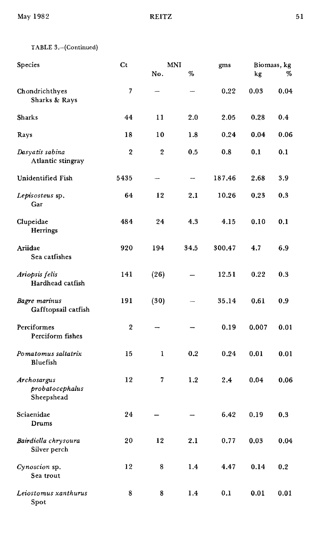May 1982 REITZ 51

| Species                                      | C <sub>t</sub> |                | <b>MNI</b> | gms    |       | Biomass, kg |
|----------------------------------------------|----------------|----------------|------------|--------|-------|-------------|
|                                              |                | No.            | %          |        | kg    | %           |
| Chondrichthyes<br>Sharks & Rays              | 7              |                |            | 0.22   | 0.03  | 0.04        |
| <b>Sharks</b>                                | 44             | 11             | 2.0        | 2.05   | 0.28  | 0.4         |
| Rays                                         | 18             | 10             | 1.8        | 0.24   | 0.04  | 0.06        |
| Dasyatis sabina<br>Atlantic stingray         | 2              | $\overline{2}$ | 0.5        | 0.8    | 0.1   | 0.1         |
| Unidentified Fish                            | 5435           | -              | ---        | 187.46 | 2.68  | 3.9         |
| Lepisosteus sp.<br>Gar                       | 64             | 12             | 2.1        | 10.26  | 0.23  | 0.3         |
| Clupeidae<br>Herrings                        | 484            | 24             | 4.3        | 4.15   | 0.10  | 0.1         |
| Ariidae<br>Sea catfishes                     | 920            | 194            | 34.5       | 300,47 | 4.7   | 6.9         |
| Ariopsis felis<br>Hardhead catfish           | 141            | (26)           |            | 12.51  | 0.22  | 0.3         |
| Bagre marinus<br>Gafftopsail catfish         | 191            | (30)           |            | 35.14  | 0.61  | 0.9         |
| Perciformes<br>Perciform fishes              | 2              |                |            | 0.19   | 0.007 | 0.01        |
| Pomatomus saltatrix<br>Bluefish              | 15             | 1              | 0.2        | 0.24   | 0.01  | 0.01        |
| Archosargus<br>probatocephalus<br>Sheepshead | 12             | 7              | 1.2        | 2.4    | 0.04  | 0.06        |
| Sciaenidae<br>Drums                          | 24             |                |            | 6.42   | 0.19  | 0.3         |
| Bairdiella chrysoura<br>Silver perch         | 20             | 12             | 2.1        | 0.77   | 0.03  | $\bf 0.04$  |
| Cynoscion sp.<br>Sea trout                   | 12             | 8              | $1.4\,$    | 4.47   | 0.14  | 0.2         |
| Leiostomus xanthurus<br>Spot                 | 8              | 8              | 1.4        | 0.1    | 0.01  | 0.01        |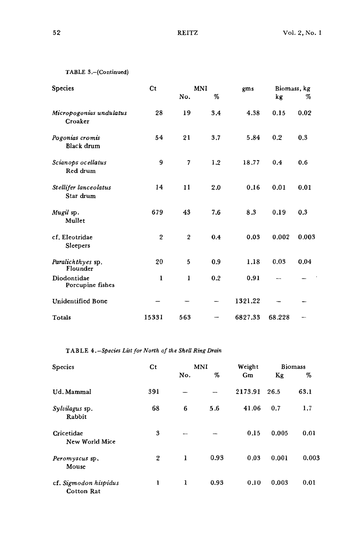$\ddot{\phantom{a}}$ 

```
TABLE 3.-(Continued)
```

| <b>Species</b>                     | Ct             |                  | <b>MNI</b> | gms     | Biomass, kg |       |
|------------------------------------|----------------|------------------|------------|---------|-------------|-------|
|                                    |                | No.              | %          |         | kg          | %     |
| Micropogonias undulatus<br>Croaker | 28             | 19               | 3.4        | 4.38    | 0.15        | 0.02  |
| Pogonias cromis<br>Black drum      | 54             | 21               | 3.7        | 5.84    | 0.2         | 0.3   |
| Scianops ocellatus<br>Red drum     | 9              | $\overline{7}$   | 1.2        | 18.77   | 0.4         | 0.6   |
| Stellifer lanceolatus<br>Star drum | 14             | 11               | 2.0        | 0.16    | 0.01        | 0.01  |
| Mugil sp.<br>Mullet                | 679            | 43               | 7.6        | 8.3     | 0.19        | 0.3   |
| cf. Eleotridae<br>Sleepers         | $\overline{2}$ | $\boldsymbol{2}$ | 0.4        | 0.03    | 0.002       | 0.003 |
| Paralichthyes sp.<br>Flounder      | 20             | 5                | 0.9        | 1.18    | 0.03        | 0.04  |
| Diodontidae<br>Porcupine fishes    | 1              | 1                | 0.2        | 0.91    |             |       |
| Unidentified Bone                  |                |                  |            | 1321.22 |             |       |
| Totals                             | 15331          | 563              |            | 6827.33 | 68.228      |       |

TABLE *4.-Species List for North of the Shell Ring Drain*

| Species                             | Ct  |                          | MNI  | Weight  |       | <b>Biomass</b> |  |
|-------------------------------------|-----|--------------------------|------|---------|-------|----------------|--|
|                                     |     | No.                      | %    | Gm      | Kg    | %              |  |
| Ud. Mammal                          | 391 |                          |      | 2173.91 | 26.5  | 63,1           |  |
| Sylvilagus sp.<br>Rabbit            | 68  | 6                        | 5.6  | 41.06   | 0.7   | 1.7            |  |
| Cricetidae<br>New World Mice        | 3   | $\overline{\phantom{a}}$ |      | 0.15    | 0.005 | 0.01           |  |
| Peromyscus sp.<br>Mouse             | 2   | 1                        | 0.93 | 0.03    | 0.001 | 0.003          |  |
| cf. Sigmodon hispidus<br>Cotton Rat | 1   | 1                        | 0.93 | 0.10    | 0.003 | 0.01           |  |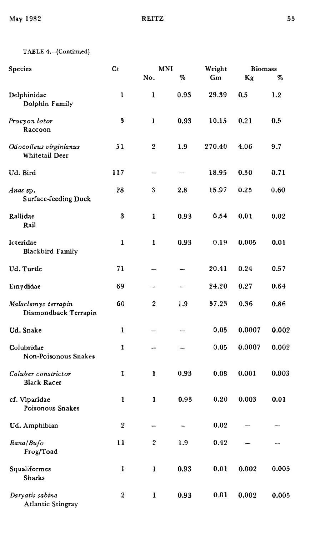# TABLE 4.-(Continued)

| Species                                     | $ct$             | MNI              |                              | Weight | <b>Biomass</b> |       |
|---------------------------------------------|------------------|------------------|------------------------------|--------|----------------|-------|
|                                             |                  | No.              | $% \mathcal{P}_{\mathrm{c}}$ | Gm     | Kg             | %     |
| Delphinidae<br>Dolphin Family               | $\mathbf{1}$     | 1                | 0.93                         | 29.39  | 0.5            | 1.2   |
| Procyon lotor<br>Raccoon                    | $\bf 3$          | 1                | 0.93                         | 10.15  | 0.21           | 0.5   |
| Odocoileus virginianus<br>Whitetail Deer    | 51               | 2                | 1.9                          | 270.40 | 4.06           | 9.7   |
| Ud. Bird                                    | 117              |                  |                              | 18.95  | 0.30           | 0.71  |
| Anas sp.<br><b>Surface-feeding Duck</b>     | 28               | 3                | 2.8                          | 15.97  | 0.25           | 0.60  |
| Rallidae<br>Rail                            | 3                | $\mathbf{1}$     | 0.93                         | 0.54   | 0.01           | 0.02  |
| Icteridae<br><b>Blackbird Family</b>        | $\mathbf{1}$     | $\mathbf{1}$     | 0.93                         | 0.19   | 0.005          | 0.01  |
| Ud. Turtle                                  | 71               |                  |                              | 20.41  | 0.24           | 0.57  |
| Emydidae                                    | 69               |                  |                              | 24.20  | 0.27           | 0.64  |
| Malaclemys terrapin<br>Diamondback Terrapin | 60               | $\overline{2}$   | 1.9                          | 37.23  | 0.36           | 0.86  |
| Ud. Snake                                   | 1                |                  |                              | 0.05   | 0.0007         | 0.002 |
| Colubridae<br>Non-Poisonous Snakes          | 1                |                  |                              | 0.05   | 0.0007         | 0.002 |
| Coluber constrictor<br><b>Black Racer</b>   | $\mathbf{1}$     | 1                | 0.93                         | 0.08   | 0.001          | 0.003 |
| cf. Viparidae<br>Poisonous Snakes           | $\mathbf{1}$     | 1                | 0.93                         | 0.20   | 0.003          | 0.01  |
| Ud. Amphibian                               | $\boldsymbol{2}$ |                  |                              | 0.02   |                |       |
| Rana/Bufo<br>Frog/Toad                      | 11               | $\boldsymbol{2}$ | 1.9                          | 0.42   |                |       |
| Squaliformes<br><b>Sharks</b>               | $\mathbf 1$      | $\mathbf 1$      | 0.93                         | 0.01   | 0.002          | 0.005 |
| Dasyatis sabina<br>Atlantic Stingray        | 2                | 1                | 0.93                         | 0.01   | 0.002          | 0.005 |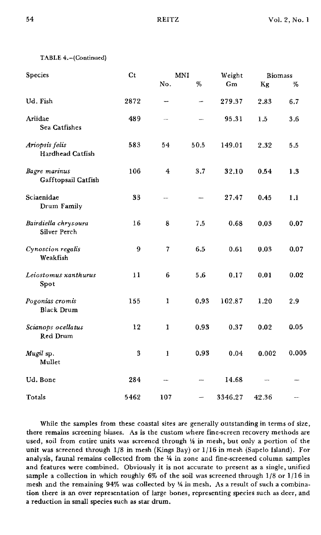# TABLE 4.-(Continued)

| Species                              | Ct   |                  | MNI  | Weight  | <b>Biomass</b> |         |  |
|--------------------------------------|------|------------------|------|---------|----------------|---------|--|
|                                      |      | No.              | $\%$ | Gm      | Kg             | %       |  |
| Ud. Fish                             | 2872 | -                | -    | 279.37  | 2.83           | 6.7     |  |
| Ariidae<br>Sea Catfishes             | 489  |                  |      | 95.31   | 1.5            | 3.6     |  |
| Ariopsis felis<br>Hardhead Catfish   | 583  | 54               | 50.5 | 149.01  | 2.32           | $5.5\,$ |  |
| Bagre marinus<br>Gafftopsail Catfish | 106  | $\boldsymbol{4}$ | 3,7  | 32.10   | 0.54           | 1.3     |  |
| Sciaenidae<br>Drum Family            | 33   | $\overline{a}$   |      | 27.47   | 0.45           | 1.1     |  |
| Bairdiella chrysoura<br>Silver Perch | 16   | 8                | 7.5  | 0.68    | 0.03           | 0.07    |  |
| Cynoscion regalis<br>Weakfish        | 9    |                  | 6.5  | 0.61    | 0.03           | 0.07    |  |
| Leiostomus xanthurus<br>Spot         | 11   | 6                | 5.6  | 0.17    | 0.01           | 0.02    |  |
| Pogonias cromis<br><b>Black Drum</b> | 155  | 1                | 0.93 | 102.87  | 1.20           | 2.9     |  |
| Scianops ocellatus<br>Red Drum       | 12   | 1                | 0.93 | 0.37    | 0.02           | 0.05    |  |
| Mugil sp.<br>Mullet                  | 3    | $\mathbf{I}$     | 0.93 | 0.04    | 0.002          | 0.005   |  |
| Ud. Bone                             | 284  |                  |      | 14.68   |                |         |  |
| Totals                               | 5462 | 107              |      | 3346.27 | 42.36          |         |  |

While the samples from these coastal sites are generally outstanding in terms of size, there remains screening biases. As is the custom where fine-screen recovery methods are used, soil from entire units was screened through 1/4 in mesh, but only a portion of the unit was screened through 1/8 in mesh (Kings Bay) or 1{16 in mesh (Sapelo Island). For analysis, faunal remains collected from the  $4/4$  in zone and fine-screened column samples and features were combined. Obviously it is not accurate to present as a single, unified sample a collection in which roughly 6% of the soil was screened through 1/8 or 1/16 in mesh and the remaining 94% was collected by '4 in mesh. As a result of such a combination there is an over representation of large bones, representing species such as deer, and a reduction in small species such as star drum.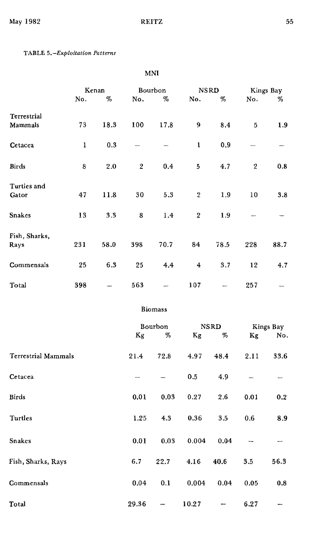# TABLE 5.-Exploitation Patterns

# MNI

|                            |     | Kenan |         | Bourbon        |                  | <b>NSRD</b> |                  | Kings Bay                |
|----------------------------|-----|-------|---------|----------------|------------------|-------------|------------------|--------------------------|
|                            | No. | $\%$  | No.     | %              | No.              | $\%$        | No.              | %                        |
| Terrestrial                |     |       |         |                |                  |             |                  |                          |
| Mammals                    | 73  | 18.3  | 100     | 17.8           | 9                | 8.4         | 5                | 1.9                      |
| Cetacea                    | 1   | 0.3   |         |                | 1                | 0.9         | -----            | -                        |
| Birds                      | 8   | 2.0   | $\,2\,$ | 0.4            | 5                | 4.7         | $\boldsymbol{2}$ | 0.8                      |
| Turtles and                |     |       |         |                |                  |             |                  |                          |
| Gator                      | 47  | 11.8  | 30      | 5.3            | 2                | 1.9         | 10               | 3.8                      |
| Snakes                     | 13  | 3.3   | 8       | 1.4            | $\boldsymbol{2}$ | 1.9         |                  |                          |
| Fish, Sharks,              |     |       |         |                |                  |             |                  |                          |
| Rays                       | 231 | 58.0  | 398     | 70.7           | 84               | 78.5        | 228              | 88.7                     |
| Commensals                 | 25  | 6.3   | 25      | 4.4            | 4                | 3.7         | 12               | 4.7                      |
| Total                      | 398 |       | 563     |                | 107              |             | 257              |                          |
|                            |     |       |         | <b>Biomass</b> |                  |             |                  |                          |
|                            |     |       |         | Bourbon        |                  | <b>NSRD</b> | Kings Bay        |                          |
|                            |     |       | Kg      | $\%$           | Kg               | %           | Kg               | No.                      |
| <b>Terrestrial Mammals</b> |     |       | 21.4    | 72.8           | 4.97             | 48.4        | 2.11             | 33.6                     |
| Cetacea                    |     |       |         |                | 0.5              | 4.9         |                  | -                        |
| Birds                      |     |       | 0.01    | 0.03           | 0.27             | 2.6         | 0.01             | 0.2                      |
| Turtles                    |     |       | 1.25    | 4.3            | 0.36             | 3.5         | 0.6              | 8.9                      |
| <b>Snakes</b>              |     |       | 0.01    | 0.03           | 0.004            | 0.04        |                  | $\overline{\phantom{a}}$ |
| Fish, Sharks, Rays         |     |       | 6.7     | 22.7           | 4.16             | 40.6        | $3.5\,$          | 56.3                     |
| Commensals                 |     |       | 0.04    | 0.1            | 0.004            | 0.04        | 0.05             | $\bf 0.8$                |

Total  $29.36 - 10.27 - 6.27$ 

 $\sim$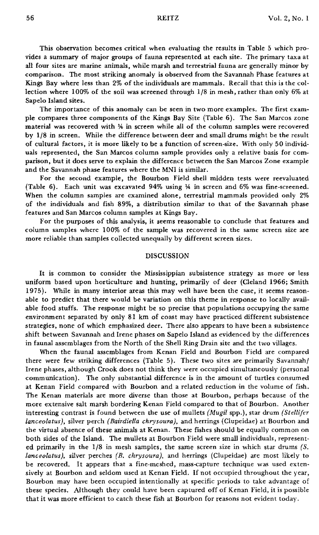This observation becomes critical when evaluating the results in Table 5 which provides a summary of major groups of fauna represented at each site. The primary taxa at all four sites are marine animals, while marsh and terrestrial fauna are generally minor by comparison. The most striking anomaly is observed from the Savannah Phase features at Kings Bay where less than 2% of the individuals are mammals. Recall that this is the collection where 100% of the soil was screened through *1/8* in mesh, rather than only 6% at Sapelo Island sites.

The importance of this anomaly can be seen in two more examples. The first example compares three components of the Kings Bay Site (Table 6). The San Marcos zone material was recovered with 1/4 in screen while all of the column samples were recovered by *1/8* in screen. While the difference between deer and small drums might be the result of cultural factors, it is more likely to be a function of screen-size. With only 50 individuals represented, the San Marcos column sample provides only a relative basis for comparison, but it does serve to explain the difference between the San Marcos Zone example and the Savannah phase features where the MNI is similar.

For the second example, the Bourbon Field shell midden tests were reevaluated (Table  $6$ ). Each unit was excavated 94% using  $\frac{1}{4}$  in screen and 6% was fine-screened. When the column samples are examined alone, terrestrial mammals provided only 2% of the individuals and fish 89%, a distribution similar to that of the Savannah phase features and San Marcos column samples at Kings Bay.

For the purposes of this analysis. it seems reasonable to conclude that features and column samples where 100% of the sample was recovered in the same screen size are more reliable than samples collected unequally by different screen sizes.

## DISCUSSION

It is common to consider the Mississippian subsistence strategy as more or less uniform based upon horticulture and hunting, primarily of deer (Cleland 1966; Smith 1975). While in many interior areas this may well have been the case, it seems reasonable to predict that there would be variation on this theme in response to locally available food stuffs. The response might be so precise that populations occupying the same environment separated by only 81 km of coast may have practiced different subsistence strategies, none of which emphasized deer. There also appears to have been a subsistence shift between Savannah and Irene phases on Sapelo Island as evidenced by the differences in faunal assemblages from the North of the Shell Ring Drain site and the two villages.

When the faunal assemblages from Kenan Field and Bourbon Field are compared there were few striking differences (Table 5). These two sites are primarily Savannahl Irene phases, although Crook does not think they were occupied simultaneously (personal communication). The only substantial difference is in the amount of turtles consumed at Kenan Field compared with Bourbon and a related reduction in the volume of fish. The Kenan materials are more diverse than those at Bourbon, perhaps because of the more extensive salt marsh bordering Kenan Field compared to that of Bourbon. Another interesting contrast is found between the use of mullets *(Mugil spp.)*, star drum *(Stellifer lanceolatus)*, silver perch *(Bairdiella chrysoura)*, and herrings (Clupeidae) at Bourbon and the virtual absence of these animals at Kenan. These fishes should be equally common on both sides of the Island. The mullets at Bourbon Field were small individuals, represented primarily in the *1/8* in mesh samples, the same screen size in which star drums *(5. lanceolatus),* silver perches *(E. chrysoura),* and herrings (Clupeidae) are most likely to be recovered. It appears that a fine-meshed, mass-capture technique was used extensively at Bourbon and seldom used at Kenan Field. If not occupied throughout the year, Bourbon may have been occupied intentionally at specific periods to take advantage of these species. Although they could have been captured off of Kenan field, it is possible that it was more efficient to catch these fish at Bourbon for reasons not evident today.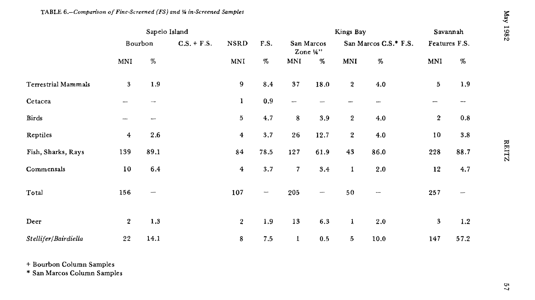|                            | Sapelo Island           |         |               |                         |                          | Kings Bay                |          |                       |                          | Savannah         |                   | 7861   |
|----------------------------|-------------------------|---------|---------------|-------------------------|--------------------------|--------------------------|----------|-----------------------|--------------------------|------------------|-------------------|--------|
|                            |                         | Bourbon | $C.S. + F.S.$ | <b>NSRD</b><br>MNI      | F.S.<br>$\%$             | San Marcos<br>Zone $4$ " |          | San Marcos C.S.* F.S. |                          | Features F.S.    |                   |        |
|                            | MNI                     | $\%$    |               |                         |                          | <b>MNI</b>               | %        | <b>MNI</b>            | $\%$                     | MNI              | $\%$              |        |
| <b>Terrestrial Mammals</b> | $\overline{\mathbf{3}}$ | 1.9     |               | 9                       | 8.4                      | 37                       | 18.0     | $\boldsymbol{2}$      | 4.0                      | 5                | 1,9               |        |
| Cetacea                    |                         |         |               | $\mathbf{1}$            | $0.9\,$                  | -                        |          |                       |                          |                  | www.              |        |
| Birds                      |                         |         |               | $\bf 5$                 | 4.7                      | 8                        | 3.9      | $\overline{2}$        | 4.0                      | $\boldsymbol{2}$ | $0.8\,$           |        |
| Reptiles                   | 4                       | 2.6     |               | $\overline{\mathbf{4}}$ | $3.7\,$                  | 26                       | 12.7     | $\boldsymbol{2}$      | 4.0                      | $10\,$           | $\bf 3.8$         |        |
| Fish, Sharks, Rays         | 139                     | 89,1    |               | 84                      | 78.5                     | 127                      | 61.9     | 43                    | 86.0                     | 228              | 88.7              | RELIZZ |
| Commensals                 | $10\,$                  | 6.4     |               | $\boldsymbol{4}$        | 3.7                      | $\overline{\phantom{a}}$ | 3.4      | 1                     | 2.0                      | $12\,$           | 4.7               |        |
| Total                      | 156                     |         |               | 107                     | $\overline{\phantom{a}}$ | 205                      | $\cdots$ | 50                    | $\overline{\phantom{a}}$ | 257              | $\hspace{0.05cm}$ |        |
| Deer                       | $\boldsymbol{2}$        | 1.3     |               | $\boldsymbol{2}$        | 1.9                      | $13\,$                   | $6.3\,$  | $\mathbf 1$           | 2.0                      | 3                | 1.2               |        |
| Stellifer/Bairdiella       | 22                      | 14.1    |               | 8                       | 7.5                      | $\mathbf{I}$             | 0.5      | 5                     | 10.0                     | 147              | 57.2              |        |

+ Bourbon Column Samples

\* San Marcos Column Samples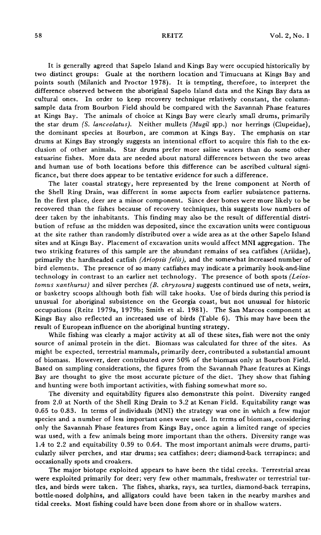It is generally agreed that Sapelo Island and Kings Bay were occupied historically by two distinct groups: Guale at the northern location and Timucuans at Kings Bay and points south (Milanich and Proctor 1978). It is tempting, therefore, to interpret the difference observed between the aboriginal Sapelo Island data and the Kings Bay data as cultural ones. In order to keep recovery technique relatively constant, the columnsample data from Bourbon Field should be compared with the Savannah Phase features at Kings Bay. The animals of choice at Kings Bay were clearly small drums, primarily the star drum *(S. lanceolatus).* Neither mullets *(MugU* spp.) nor herrings (Clupeidae). the dominant species at Bourbon, are common at Kings Bay. The emphasis on star drums at Kings Bay strongly suggests an intentional effort to acquire this fish to the exclusion of other animals. Star drums prefer more saline waters than do some other estuarine fishes. More data are needed about natural differences between the two areas and human use of both locations before this difference can be ascribed cultural significance, but there does appear to be tentative evidence for such a difference.

The later coastal strategy, here represented by the Irene component at North of the Shell Ring Drain, was different in some aspects from earlier subsistence patterns. In the first place, deer are a minor component. Since deer bones were more likely to be recovered than the fishes because of recovery techniques, this suggests low numbers of deer taken by the inhabitants. This finding may also be the result of differential distribution of refuse as the midden was deposited, since the excavation units were contiguous at the site rather than randomly distributed over a wide area as at the other Sapelo Island sites and at Kings Bay. Placement of excavation units would affect MNI aggregation. The two striking features of this sample are the abundant remains of sea catfishes (Ariidae), primarily the hardheaded catfish *(Ariopsis felis),* and the somewhat increased number of bird elements. The presence of so many catfishes may indicate a primarily hook-and-line technology in contrast to an earlier net technology. The presence of both spots *(Leiostomus xanthurus)* and silver perches *(B. chrysoura)* suggests continued use of nets, weirs, or basketry scoops although both fish will take hooks. Use of birds during this period is unusual for aboriginal subsistence on the Georgia coast, but not unusual for historic occupations (Reitz 1979a, 1979b; Smith et al. 1981). The San Marcos component at Kings Bay also reflected an increased use of birds (Table 6). This may have been the result of European influence on the aboriginal hunting strategy.

While fishing was clearly a major activity at all of these sites, fish were not the only source of animal protein in the diet. Biomass was calculated for three of the sites. As might be expected, terrestrial mammals, primarily deer, contributed a substantial amount of biomass. However, deer contributed over 50% of the biomass only at Bourbon Field. Based on sampling considerations, the figures from the Savannah Phase features at Kings Bay are thought to give the most accurate picture of the diet. They show that fishing and hunting were both important activities, with fishing somewhat more so.

The diversity and equitability figures also demonstrate this point. Diversity ranged from 2.0 at North of the Shell Ring Drain to 3.2 at Kenan Field. Equitability range was 0.65 to 0.83. In terms of individuals (MNI) the strategy was one in which a few major species and a number of less important ones were used. In terms of biomass, considering only the Savannah Phase features from Kings Bay, once again a limited range of species was used, with a few animals being more important than the others. Diversity range was 1.4 to 2.2 and equitability 0.39 to 0.64. The most important animals were drums, particularly silver perches, and star drums; sea catfishes; deer; diamond-back terrapines; and occasionally spots and croakers.

The major biotope exploited appears to have been the tidal creeks. Terrestrial areas were exploited primarily for deer; very few other mammals, freshwater or terrestrial turtles, and birds were taken. The fishes, sharks, rays, sea turtles, diamond-back terrapins, bottle-nosed dolphins, and alligators could have been taken in the nearby marshes and tidal creeks. Most fishing could have been done from shore or in shallow waters.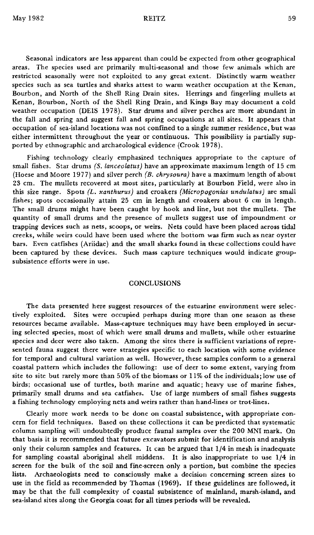Seasonal indicators are less apparent than could be expected from other geographical areas. The species used are primarily multi-seasonal and those few animals which are restricted seasonally were not exploited to any great extent. Distinctly warm weather species such as sea turtles and sharks attest to warm weather occupation at the Kenan, Bourbon, and North of the Shell Ring Drain sites. Herrings and fingerling mullets at Kenan, Bourbon, North of the Shell Ring Drain, and Kings Bay may document a cold weather occupation (DEIS 1978). Star drums and silver perches are more abundant in the fall and spring and suggest fall and spring occupations at all sites. It appears that occupation of sea-island locations was not confined to a single summer residence, but was either intermittent throughout the year or continuous. This possibility is partially supported by ethnographic and archaeological evidence (Crook 1978).

Fishing technology clearly emphasized techniques appropriate to the capture of small fishes. Star drums *(S. lanceolatus)* have an approximate maximum length of 15 cm (Hoese and Moore 1977) and silver perch *(B. chrysoura)* have a maximum length of about 23 em. The mullets recovered at most sites, particularly at Bourbon Field, were also in this size range. Spots *(L. xanthurus)* and croakers *(Micropogonias undulatus)* are small fishes; spots occasionally attain 25 cm in length and croakers about 6 cm in length. The small drums might have been caught by hook and line, but not the mullets. The quantity of small drums and the presence of mullets suggest use of impoundment or trapping devices such as nets, scoops, or weirs. Nets could have been placed across tidal creeks, while weirs could have been used where the bottom was firm such as near oyster bars. Even catfishes (Ariidae) and the small sharks found in these collections could have been captured by these devices. Such mass capture techniques would indicate groupsubsistence efforts were in use.

## **CONCLUSIONS**

The data presented here suggest resources of the estuarine environment were selectively exploited. Sites were occupied perhaps during more than one season as these resources became available. Mass-capture techniques may have been employed in securing selected species, most of which were small drums and mullets, while other estuarine species and deer were also taken. Among the sites there is sufficient variations of represented fauna suggest there were strategies specific to each location with some evidence for temporal and cultural variation as well. However, these samples conform to a general coastal pattern which includes the following: use of deer to some extent, varying from site to site but rarely more than 50% of the biomass or 11% of the individuals; low use of birds; occasional use of turtles, both marine and aquatic; heavy use of marine fishes, primarily small drums and sea catfishes. Use of large numbers of small fishes suggests a fishing technology employing nets and weirs rather than hand-lines or trot-lines.

Clearly more work needs to be done on coastal subsistence, with appropriate concern for field techniques. Based on these collections it can be predicted that systematic column sampling will undoubtedly produce faunal samples over the 200 MNI mark. On that basis it is recommended that future excavators submit for identification and analysis only their column samples and features. It can be argued that 1/4 in mesh is inadequate for sampling coastal aboriginal shell middens. It is also inappropriate to use 1/4 in screen for the bulk of the soil and fine-screen only a portion, but combine the species lists. Archaeologists need to consciously make a decision concerning screen sizes to use in the field as recommended by Thomas (1969). If these guidelines are followed, it may be that the full complexity of coastal subsistence of mainland, marsh-island, and sea-island sites along the Georgia coast for all times periods will be revealed.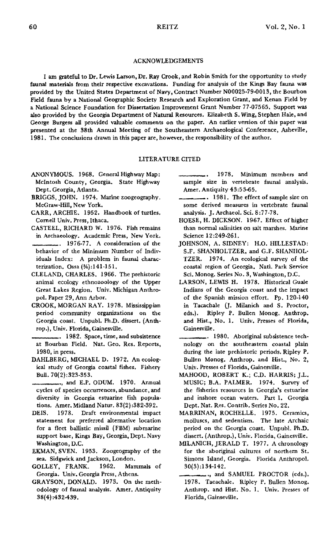### ACKNOWLEDGEMENTS

I am grateful to Dr. Lewis Larson, Dr. Ray Crook, and Robin Smith for the opportunity to study faunal materials from their respective excavations. Funding for analysis of the Kings Bay fauna was provided by the United States Department of Navy, Contract Number N00025-79-o013, the Bourbon Field fauna by a National Geographic Society Research and Exploration Grant, and Kenan Field by a National Science Foundation for Dissertation Improvement Grant Number 77-07565. Support was also provided by the Georgia Department of Natural Resources. Elizabeth S. Wing, Stephen Hale, and George Burgess all provided valuable comments on the paper. An earlier version of this paper was presented at the 38th Annual Meeting of the Southeastern Archaeological Conference, Asheville, 1981. The conclusions drawn in this paper are, however, the responsibility of the author.

## LITERATURE CITED

- ANONYMOUS. 1968. General Highway Map: McIntosh County, Georgia. State Highway Dept. Georgia, Atlanta.
- BRIGGS, JOHN. 1974. Marine zoogeography. McGraw-Hill, New York.
- CARR, ARCHIE. 1952. Handbook of turtles. Cornell Univ. Press, Ithaca.
- CASTEEL, RICHARD W. 1976. Fish remains in Archaeology. Academic Press, New York.
- \_\_\_\_. 1976·77. <sup>A</sup> consideration of the behavior of the Minimum Number of Individuals Index: A problem in faunal charac· terization. Ossa (14):141-151.
- CLELAND, CHARLES. 1966. The prehistoric animal ecology ethnozoology of the Upper Great Lakes Region. Univ. Michigan Anthro· pol. Paper 29, Ann Arbor.
- CROOK, MORGAN RAY. 1978. Mississippian period community organizations on the Georgia coast. Unpubl. Ph.D. dissert. (Anth· rop.), Univ. Florida, Gainesville.

\_\_\_\_• 1982. Space, time, and subsistence at Bourban Field. Nat. Geo. Res. Reports, 1980, in press.

- DAHLBERG, MICHAEL D. 1972. An ecological study of Georgia coastal fishes. Fishery Bull. 70(2);323.353.
- \_\_\_., and E.P.ODUM. 1970. Annual cycles of species occurrences, abundance, and diversity in Georgia estuarine fish popula. tions. Amer. Midland Natur. 83(2):382-392.
- DEIS. 1978. Draft environmental impact statement for preferred alternative location for a fleet ballistic missil (FBM) submarine support base, Kings Bay, Georgia, Dept. Navy Washington, D.C.
- EKMAN, SVEN. 1953. Zoogeography of the sea. Sidgwick and Jackson, London.
- GOLLEY, FRANK. 1962. Mammals of Georgia. Unlv. Georgia Press, Athens.
- GRAYSON, DONALD. 1973. On the meth· odology of faunal analysis. Amer. Antiquity 38(4):432-439.

1978. Minimum numbers and sample size in vertebrate faunal analysis. Amer. Antiquity 43:53-65.

- ... 1981. The effect of sample size on some derived measures in vertebrate faunal analysis. J. Archaeol. Sci. 8:77·78.
- HOESE, H. DICKSON. 1967. Effect of higher than normal salinities on salt marshes. Marine Science 12:249·261.
- JOHNSON, A. SIDNEY: H.O. HILLESTAD: S.F. SHANHOLTZER, and G.F. SHANHOL· TZER. 1974. An ecological survey of the coastal region of Georgia. Natl. Park Service Sci. Monog. Series No.3, Washington, D.C.
- LARSON, LEWIS H. 1978. Historical Guale Indians of the Georgia coast and the impact of the Spanish mission effort. Pp. 120-140 in Tacachale (J. Milanich and S. Proctor, eds.). Ripley P. Bullen Monog. Anthrop. and Hist., No. 1. Univ. Presses of Florida, Gainesville.
- \_\_\_\_. 1980. Aboriginal subsistence tech· nology on the southeastern coastal plain during the late prehistoric periods. Ripley P. Bullen Monog. Anthrop. and Hist., No.2, Univ. Presses of Florida, Gainesville.
- MAHOOD, ROBERT K.; C.D. HARRIS; J.L. MUSIC; B.A. PALMER. 1974. Survey of the fisheries resources in Georgia's estuarine and inshore ocean waters. Part I. Georgia Dept. Nat. Res. Contrib. Series No. 22.
- MARRINAN. ROCHELLE. 1975. Ceramics, molluscs, and sedentism. The late Archaic period on the Georgia coast. Unpubl. Ph.D. dissert. (Anthrop.), Univ. Florida, Gainesville.
- MILANICH, JERALD T. 1977. A chronology for the aboriginal cultures of northern St. Simons Island, Georgia. Florida Anthropol. 30(3):134-142.
	- \_\_\_., and SAMUEL PROCTOR (cds.). 1978. Tacachale. Ripley P. Bullen Monog. Anthrop. and Hist. No. 1. Univ. Presses of Florida, Gainseville.